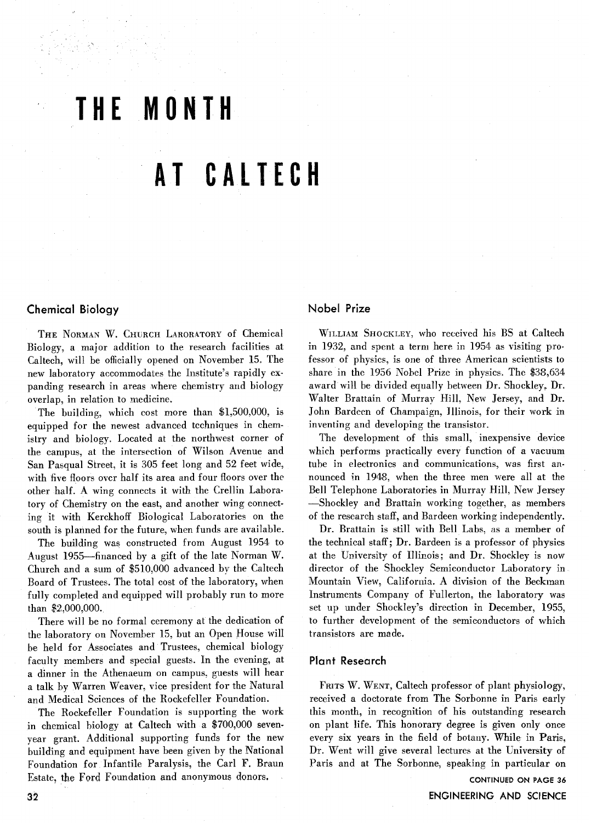**THE MOM** 

# AT CALTECH

## **Chemical Biology**

THE NORMAN W. CHURCH LARORATORY of Chemical Biology, a major addition to the research facilities at Caltech, will be officially opened on November 15. The new laboratory accommodates the Institute's rapidly expanding research in areas where chemistry and biology overlap, in relation to medicine.

The building, which cost more than \$1,500,000, is equipped for the newest advanced techniques in chemistry and biology. Located at the northwest corner of the campus, at the intersection of Wilson Avenue and San Pasqual Street, it is 305 feet long and 52 feet wide, with five floors over half its area and four floors over the other half. A wing connects it with the Crellin Laboratory of Chemistry on the east, and another wing connecting it with Kerckhoff Biological Laboratories on the south is planned for the future, when funds are available.

The building was constructed from August 1954 to August 1955-financed by a gift of the late Norman W. Church and a sum of \$510,000 advanced by the Caltech Board of Trustees. The total cost of the laboratory, when fully completed and equipped will probably run to more than \$2,000,000.

There will be no formal ceremony at the dedication of the laboratory on November 15, but an Open House will be held for Associates and Trustees, chemical biology faculty members and special guests. In the evening, at a dinner in the Athenaeum on campus. guests will hear a talk by Warren Weaver, vice president for the Natural and Medical Sciences of the Rockefeller Foundation.

The Rockefeller Foundation is supporting the work in chemical biology at Caltech with a \$700,000 sevenyear grant. Additional supporting funds for the new building and equipment have been given by the National Foundation for Infantile Paralysis, the Carl **F.** Braun Estate, the Ford Foundation and anonymous donors.

## **Nobel Prize**

WILLIAM SHOCKLEY, who received his BS at Caltech in 1932, and spent a term here in 1954 as visiting professor of physics, is one of three American scientists to share in the 1956 Nobel Prize in physics. The \$38,634 award will be divided equally between Dr. Shockley. Dr. Walter Brattain of Murray Hill, New Jersey, and Dr. John Bardeen of Champaign, Illinois, for their work in inventing and developing the transistor.

The development of this small, inexpensive device which performs practically every function of a vacuum tube in electronics and communications, was first announced in 1948, when the three men were all at the Bell Telephone Laboratories in Murray Hill, New Jersey -Shockley and Brattain working together, as members of the research staff, and Bardeen working independently.

Dr. Brattain is still with Bell Labs, as a member of the technical staff; Dr. Bardeen is a professor of physics at the University of Illinois; and Dr. Shockley is now director of the Shockley Semiconductor Laboratory in Mountain View, California. **A** division of the Beckman Instruments Company of Fullerton, the laboratory was set up under Shockley's direction in December, 1955, to further development of the semiconductors of which transistors are made.

## **Plant Research**

FRITS W. WENT, Caltech professor of plant physiology, received a doctorate from The Sorbonne in Paris early this month, in recognition of his outstanding research on plant life. This honorary degree is given only once every six years in the field of botany. While in Paris, Dr. Went will give several lectures at the University of Paris and at The Sorbonne, speaking in particular on